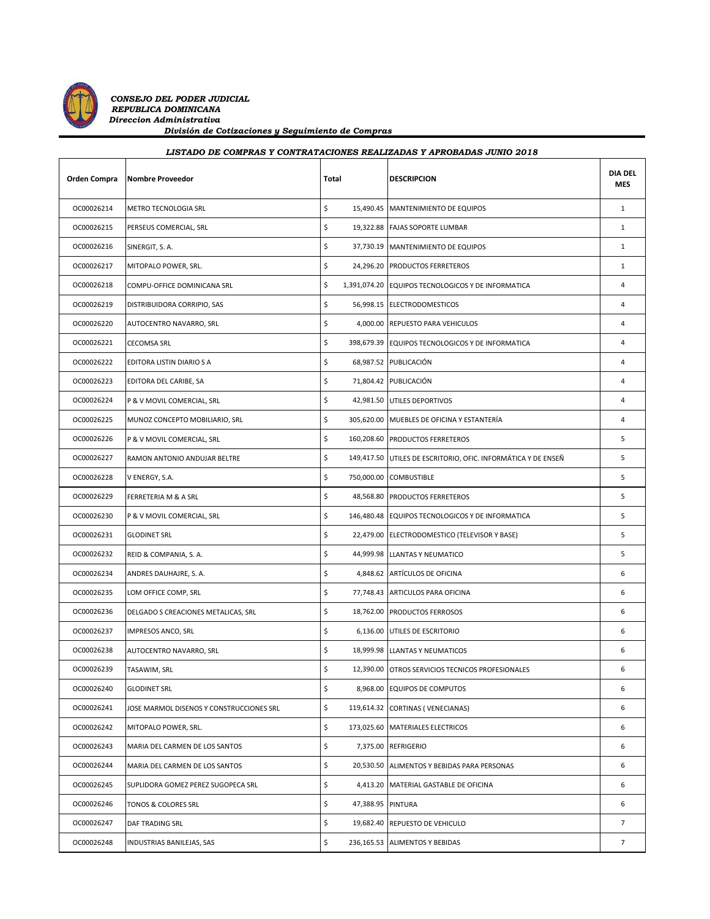

 *CONSEJO DEL PODER JUDICIAL REPUBLICA DOMINICANA Direccion Administrativa División de Cotizaciones y Seguimiento de Compras*

## **Orden Compra Nombre Proveedor Notal Total DESCRIPCION DIA DEL MES** OC00026214 METRO TECNOLOGIA SRL SAL SAL SAL SAL SAL SAL SAL SAL MANTENIMIENTO DE EQUIPOS 1 OC00026215 PERSEUS COMERCIAL, SRL \$ 19,322.88 FAJAS SOPORTE LUMBAR 1 OC00026216 SINERGIT, S. A. \$ 37,730.19 MANTENIMIENTO DE EQUIPOS 1 OC00026217 MITOPALO POWER, SRL. **1** 1 24,296.20 PRODUCTOS FERRETEROS 1 OC00026218 COMPU-OFFICE DOMINICANA SRL  $\begin{vmatrix} 5 & 1,391,074.20 \end{vmatrix}$  EQUIPOS TECNOLOGICOS Y DE INFORMATICA 4 OC00026219 DISTRIBUIDORA CORRIPIO, SAS \$ 56,998.15 ELECTRODOMESTICOS 4 OC00026220 AUTOCENTRO NAVARRO, SRL \$ 4,000.00 REPUESTO PARA VEHICULOS 4 OC00026221 CECOMSA SRL \$ 398,679.39 EQUIPOS TECNOLOGICOS Y DE INFORMATICA 4 OC00026222 EDITORA LISTIN DIARIO S A \$ 68,987.52 PUBLICACIÓN 4 OC00026223 EDITORA DEL CARIBE, SA \$ 71,804.42 PUBLICACIÓN 4 OC00026224 P & V MOVIL COMERCIAL, SRL \$ 42,981.50 UTILES DEPORTIVOS 4 OC00026225 MUNOZ CONCEPTO MOBILIARIO, SRL \$ 305,620.00 MUEBLES DE OFICINA Y ESTANTERÍA 4 *LISTADO DE COMPRAS Y CONTRATACIONES REALIZADAS Y APROBADAS JUNIO 2018*

| OC00026219 | DISTRIBUIDORA CORRIPIO, SAS              | \$                      | 56,998.15 ELECTRODOMESTICOS                                   | 4              |
|------------|------------------------------------------|-------------------------|---------------------------------------------------------------|----------------|
| OC00026220 | AUTOCENTRO NAVARRO, SRL                  | Ś.                      | 4,000.00 REPUESTO PARA VEHICULOS                              | $\overline{4}$ |
| OC00026221 | CECOMSA SRL                              | \$                      | 398,679.39 EQUIPOS TECNOLOGICOS Y DE INFORMATICA              | 4              |
| OC00026222 | EDITORA LISTIN DIARIO S A                | \$                      | 68,987.52 PUBLICACIÓN                                         | $\overline{4}$ |
| OC00026223 | EDITORA DEL CARIBE, SA                   | \$                      | 71,804.42 PUBLICACIÓN                                         | 4              |
| OC00026224 | P & V MOVIL COMERCIAL, SRL               | \$                      | 42,981.50 UTILES DEPORTIVOS                                   | $\overline{4}$ |
| OC00026225 | MUNOZ CONCEPTO MOBILIARIO, SRL           | \$                      | 305,620.00 MUEBLES DE OFICINA Y ESTANTERÍA                    | 4              |
| OC00026226 | P & V MOVIL COMERCIAL, SRL               | \$                      | 160,208.60 PRODUCTOS FERRETEROS                               | 5              |
| OC00026227 | RAMON ANTONIO ANDUJAR BELTRE             | \$                      | 149,417.50 UTILES DE ESCRITORIO, OFIC. INFORMÁTICA Y DE ENSEÑ | 5              |
| OC00026228 | V ENERGY, S.A.                           | \$                      | 750,000.00 COMBUSTIBLE                                        | 5              |
| OC00026229 | FERRETERIA M & A SRL                     | \$<br>48,568.80         | <b>PRODUCTOS FERRETEROS</b>                                   | 5              |
| OC00026230 | P & V MOVIL COMERCIAL, SRL               | \$                      | 146,480.48 EQUIPOS TECNOLOGICOS Y DE INFORMATICA              | 5              |
| OC00026231 | <b>GLODINET SRL</b>                      | \$<br>22,479.00         | ELECTRODOMESTICO (TELEVISOR Y BASE)                           | 5              |
| OC00026232 | REID & COMPANIA, S. A.                   | \$                      | 44,999.98 LLANTAS Y NEUMATICO                                 | 5              |
| OC00026234 | ANDRES DAUHAJRE, S. A.                   | \$                      | 4,848.62 ARTÍCULOS DE OFICINA                                 | 6              |
| OC00026235 | LOM OFFICE COMP, SRL                     | \$                      | 77,748.43 ARTICULOS PARA OFICINA                              | 6              |
| OC00026236 | DELGADO S CREACIONES METALICAS, SRL      | \$<br>18,762.00         | PRODUCTOS FERROSOS                                            | 6              |
| OC00026237 | IMPRESOS ANCO, SRL                       | \$<br>6,136.00          | UTILES DE ESCRITORIO                                          | 6              |
| OC00026238 | AUTOCENTRO NAVARRO, SRL                  | \$                      | 18,999.98 LLANTAS Y NEUMATICOS                                | 6              |
| OC00026239 | TASAWIM, SRL                             | \$                      | 12,390.00 OTROS SERVICIOS TECNICOS PROFESIONALES              | 6              |
| OC00026240 | <b>GLODINET SRL</b>                      | \$                      | 8,968.00 EQUIPOS DE COMPUTOS                                  | 6              |
| OC00026241 | JOSE MARMOL DISENOS Y CONSTRUCCIONES SRL | \$                      | 119,614.32 CORTINAS (VENECIANAS)                              | 6              |
| OC00026242 | MITOPALO POWER, SRL.                     | \$                      | 173,025.60 MATERIALES ELECTRICOS                              | 6              |
| OC00026243 | MARIA DEL CARMEN DE LOS SANTOS           | \$<br>7,375.00          | <b>REFRIGERIO</b>                                             | 6              |
| OC00026244 | MARIA DEL CARMEN DE LOS SANTOS           | \$                      | 20,530.50 ALIMENTOS Y BEBIDAS PARA PERSONAS                   | 6              |
| OC00026245 | SUPLIDORA GOMEZ PEREZ SUGOPECA SRL       | \$<br>4,413.20          | MATERIAL GASTABLE DE OFICINA                                  | 6              |
| OC00026246 | TONOS & COLORES SRL                      | \$<br>47,388.95 PINTURA |                                                               | 6              |
| OC00026247 | DAF TRADING SRL                          | \$                      | 19,682.40 REPUESTO DE VEHICULO                                | $\overline{7}$ |
| OC00026248 | INDUSTRIAS BANILEJAS, SAS                | \$                      | 236,165.53 ALIMENTOS Y BEBIDAS                                | $\overline{7}$ |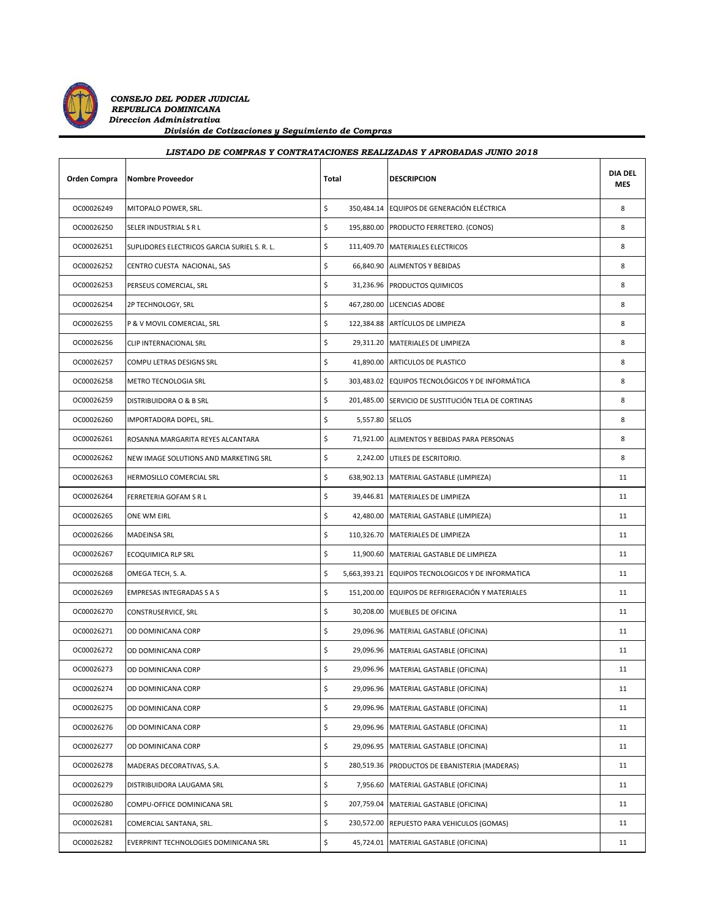

*CONSEJO DEL PODER JUDICIAL REPUBLICA DOMINICANA Direccion Administrativa División de Cotizaciones y Seguimiento de Compras*

## *LISTADO DE COMPRAS Y CONTRATACIONES REALIZADAS Y APROBADAS JUNIO 2018*

| <b>Orden Compra</b> | <b>Nombre Proveedor</b>                      | Total            | <b>DESCRIPCION</b>                                  | <b>DIA DEL</b><br><b>MES</b> |
|---------------------|----------------------------------------------|------------------|-----------------------------------------------------|------------------------------|
| OC00026249          | MITOPALO POWER, SRL.                         | \$               | 350,484.14 EQUIPOS DE GENERACIÓN ELÉCTRICA          | 8                            |
| OC00026250          | SELER INDUSTRIAL S R L                       | \$               | 195,880.00 PRODUCTO FERRETERO. (CONOS)              | 8                            |
| OC00026251          | SUPLIDORES ELECTRICOS GARCIA SURIEL S. R. L. | \$               | 111,409.70 MATERIALES ELECTRICOS                    | 8                            |
| OC00026252          | CENTRO CUESTA NACIONAL, SAS                  | \$               | 66,840.90 ALIMENTOS Y BEBIDAS                       | 8                            |
| OC00026253          | PERSEUS COMERCIAL, SRL                       | \$               | 31,236.96 PRODUCTOS QUIMICOS                        | 8                            |
| OC00026254          | 2P TECHNOLOGY, SRL                           | \$               | 467,280.00 LICENCIAS ADOBE                          | 8                            |
| OC00026255          | P & V MOVIL COMERCIAL, SRL                   | \$               | 122,384.88 ARTÍCULOS DE LIMPIEZA                    | 8                            |
| OC00026256          | CLIP INTERNACIONAL SRL                       | \$               | 29,311.20 MATERIALES DE LIMPIEZA                    | 8                            |
| OC00026257          | COMPU LETRAS DESIGNS SRL                     | \$               | 41,890.00 ARTICULOS DE PLASTICO                     | 8                            |
| OC00026258          | METRO TECNOLOGIA SRL                         | \$               | 303,483.02 EQUIPOS TECNOLÓGICOS Y DE INFORMÁTICA    | 8                            |
| OC00026259          | DISTRIBUIDORA O & B SRL                      | \$               | 201,485.00 SERVICIO DE SUSTITUCIÓN TELA DE CORTINAS | 8                            |
| OC00026260          | IMPORTADORA DOPEL, SRL.                      | \$<br>5,557.80   | <b>SELLOS</b>                                       | 8                            |
| OC00026261          | ROSANNA MARGARITA REYES ALCANTARA            | \$               | 71,921.00 ALIMENTOS Y BEBIDAS PARA PERSONAS         | 8                            |
| OC00026262          | NEW IMAGE SOLUTIONS AND MARKETING SRL        | \$               | 2,242.00 UTILES DE ESCRITORIO.                      | 8                            |
| OC00026263          | HERMOSILLO COMERCIAL SRL                     | \$               | 638,902.13 MATERIAL GASTABLE (LIMPIEZA)             | 11                           |
| OC00026264          | FERRETERIA GOFAM S R L                       | \$               | 39,446.81 MATERIALES DE LIMPIEZA                    | 11                           |
| OC00026265          | ONE WM EIRL                                  | \$               | 42,480.00 MATERIAL GASTABLE (LIMPIEZA)              | 11                           |
| OC00026266          | <b>MADEINSA SRL</b>                          | \$               | 110,326.70 MATERIALES DE LIMPIEZA                   | 11                           |
| OC00026267          | ECOQUIMICA RLP SRL                           | \$               | 11,900.60 MATERIAL GASTABLE DE LIMPIEZA             | 11                           |
| OC00026268          | OMEGA TECH, S. A.                            | \$               | 5,663,393.21 EQUIPOS TECNOLOGICOS Y DE INFORMATICA  | 11                           |
| OC00026269          | EMPRESAS INTEGRADAS S A S                    | \$               | 151,200.00 EQUIPOS DE REFRIGERACIÓN Y MATERIALES    | 11                           |
| OC00026270          | CONSTRUSERVICE, SRL                          | \$               | 30,208.00 MUEBLES DE OFICINA                        | 11                           |
| OC00026271          | OD DOMINICANA CORP                           | \$               | 29,096.96 MATERIAL GASTABLE (OFICINA)               | 11                           |
| OC00026272          | OD DOMINICANA CORP                           | \$               | 29,096.96 MATERIAL GASTABLE (OFICINA)               | 11                           |
| OC00026273          | OD DOMINICANA CORP                           | \$               | 29,096.96 MATERIAL GASTABLE (OFICINA)               | 11                           |
| OC00026274          | OD DOMINICANA CORP                           | \$<br>29,096.96  | MATERIAL GASTABLE (OFICINA)                         | 11                           |
| OC00026275          | OD DOMINICANA CORP                           | \$<br>29,096.96  | MATERIAL GASTABLE (OFICINA)                         | 11                           |
| OC00026276          | OD DOMINICANA CORP                           | \$<br>29,096.96  | MATERIAL GASTABLE (OFICINA)                         | 11                           |
| OC00026277          | OD DOMINICANA CORP                           | \$<br>29,096.95  | MATERIAL GASTABLE (OFICINA)                         | 11                           |
| OC00026278          | MADERAS DECORATIVAS, S.A.                    | \$<br>280,519.36 | PRODUCTOS DE EBANISTERIA (MADERAS)                  | 11                           |
| OC00026279          | DISTRIBUIDORA LAUGAMA SRL                    | \$<br>7,956.60   | MATERIAL GASTABLE (OFICINA)                         | 11                           |
| OC00026280          | COMPU-OFFICE DOMINICANA SRL                  | \$<br>207,759.04 | MATERIAL GASTABLE (OFICINA)                         | 11                           |
| OC00026281          | COMERCIAL SANTANA, SRL.                      | \$<br>230,572.00 | REPUESTO PARA VEHICULOS (GOMAS)                     | 11                           |
| OC00026282          | EVERPRINT TECHNOLOGIES DOMINICANA SRL        | \$<br>45,724.01  | MATERIAL GASTABLE (OFICINA)                         | 11                           |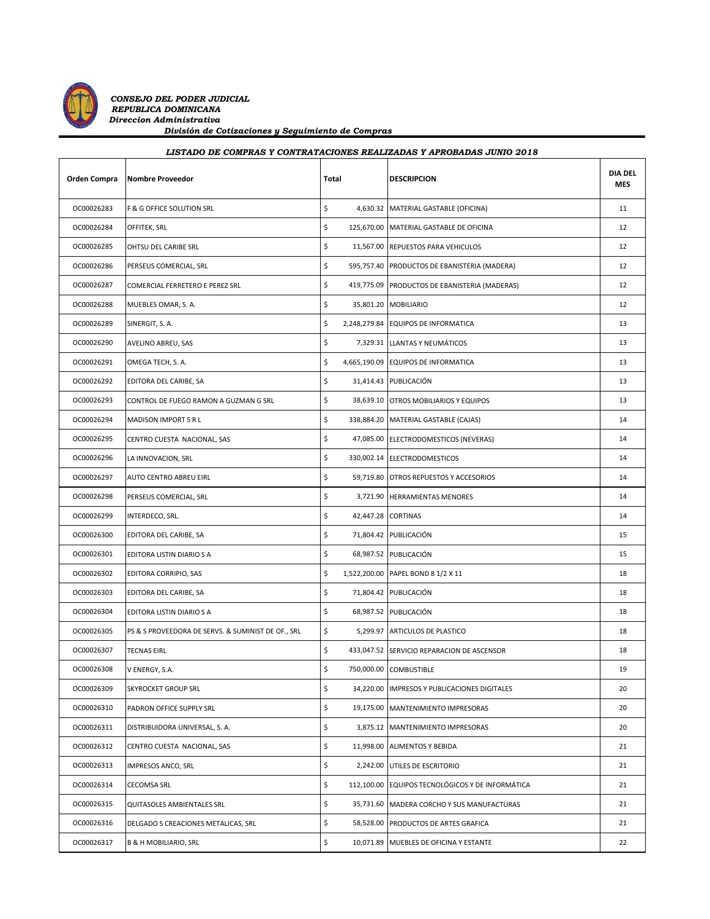

*CONSEJO DEL PODER JUDICIAL REPUBLICA DOMINICANA Direccion Administrativa División de Cotizaciones y Seguimiento de Compras*

| LISTADO DE COMPRAS Y CONTRATACIONES REALIZADAS Y APROBADAS JUNIO 2018 |                                                    |       |                                                  |                       |  |
|-----------------------------------------------------------------------|----------------------------------------------------|-------|--------------------------------------------------|-----------------------|--|
| <b>Orden Compra</b>                                                   | <b>Nombre Proveedor</b>                            | Total | <b>DESCRIPCION</b>                               | <b>DIA DEL</b><br>MES |  |
| OC00026283                                                            | F & G OFFICE SOLUTION SRL                          | \$    | 4,630.32 MATERIAL GASTABLE (OFICINA)             | 11                    |  |
| OC00026284                                                            | OFFITEK, SRL                                       | \$    | 125,670.00 MATERIAL GASTABLE DE OFICINA          | 12                    |  |
| OC00026285                                                            | OHTSU DEL CARIBE SRL                               | \$    | 11,567.00 REPUESTOS PARA VEHICULOS               | 12                    |  |
| OC00026286                                                            | PERSEUS COMERCIAL, SRL                             | \$    | 595,757.40 PRODUCTOS DE EBANISTERIA (MADERA)     | 12                    |  |
| OC00026287                                                            | COMERCIAL FERRETERO E PEREZ SRL                    | \$    | 419,775.09 PRODUCTOS DE EBANISTERIA (MADERAS)    | 12                    |  |
| OC00026288                                                            | MUEBLES OMAR, S. A.                                | \$    | 35,801.20 MOBILIARIO                             | 12                    |  |
| OC00026289                                                            | SINERGIT, S. A.                                    | \$    | 2,248,279.84 EQUIPOS DE INFORMATICA              | 13                    |  |
| OC00026290                                                            | AVELINO ABREU, SAS                                 | \$    | 7,329.31 LLANTAS Y NEUMÁTICOS                    | 13                    |  |
| OC00026291                                                            | OMEGA TECH, S. A.                                  | \$    | 4,665,190.09 EQUIPOS DE INFORMATICA              | 13                    |  |
| OC00026292                                                            | EDITORA DEL CARIBE, SA                             | \$    | 31,414.43 PUBLICACIÓN                            | 13                    |  |
| OC00026293                                                            | CONTROL DE FUEGO RAMON A GUZMAN G SRL              | \$    | 38,639.10 OTROS MOBILIARIOS Y EQUIPOS            | 13                    |  |
| OC00026294                                                            | MADISON IMPORT S R L                               | \$    | 338,884.20 MATERIAL GASTABLE (CAJAS)             | 14                    |  |
| OC00026295                                                            | CENTRO CUESTA NACIONAL, SAS                        | \$    | 47,085.00 ELECTRODOMESTICOS (NEVERAS)            | 14                    |  |
| OC00026296                                                            | LA INNOVACION, SRL                                 | \$    | 330,002.14 ELECTRODOMESTICOS                     | 14                    |  |
| OC00026297                                                            | AUTO CENTRO ABREU EIRL                             | \$    | 59,719.80 OTROS REPUESTOS Y ACCESORIOS           | 14                    |  |
| OC00026298                                                            | PERSEUS COMERCIAL, SRL                             | \$    | 3,721.90 HERRAMIENTAS MENORES                    | 14                    |  |
| OC00026299                                                            | INTERDECO, SRL.                                    | \$    | 42,447.28 CORTINAS                               | 14                    |  |
| OC00026300                                                            | EDITORA DEL CARIBE, SA                             | \$    | 71,804.42 PUBLICACIÓN                            | 15                    |  |
| OC00026301                                                            | EDITORA LISTIN DIARIO S A                          | \$    | 68,987.52 PUBLICACIÓN                            | 15                    |  |
| OC00026302                                                            | EDITORA CORRIPIO, SAS                              | \$    | 1,522,200.00 PAPEL BOND 8 1/2 X 11               | 18                    |  |
| OC00026303                                                            | EDITORA DEL CARIBE, SA                             | \$    | 71,804.42 PUBLICACIÓN                            | 18                    |  |
| OC00026304                                                            | EDITORA LISTIN DIARIO S A                          | \$    | 68,987.52 PUBLICACIÓN                            | 18                    |  |
| OC00026305                                                            | PS & S PROVEEDORA DE SERVS. & SUMINIST DE OF., SRL | \$    | 5,299.97 ARTICULOS DE PLASTICO                   | 18                    |  |
| OC00026307                                                            | <b>TECNAS EIRL</b>                                 | \$    | 433,047.52 SERVICIO REPARACION DE ASCENSOR       | 18                    |  |
| OC00026308                                                            | V ENERGY, S.A.                                     | \$    | 750,000.00 COMBUSTIBLE                           | 19                    |  |
| OC00026309                                                            | SKYROCKET GROUP SRL                                | \$    | 34,220.00 IMPRESOS Y PUBLICACIONES DIGITALES     | 20                    |  |
| OC00026310                                                            | PADRON OFFICE SUPPLY SRL                           | \$    | 19,175.00 MANTENIMIENTO IMPRESORAS               | 20                    |  |
| OC00026311                                                            | DISTRIBUIDORA UNIVERSAL, S. A.                     | \$    | 3,875.12 MANTENIMIENTO IMPRESORAS                | 20                    |  |
| OC00026312                                                            | CENTRO CUESTA NACIONAL, SAS                        | \$    | 11,998.00 ALIMENTOS Y BEBIDA                     | 21                    |  |
| OC00026313                                                            | IMPRESOS ANCO, SRL                                 | \$    | 2,242.00 UTILES DE ESCRITORIO                    | 21                    |  |
| OC00026314                                                            | CECOMSA SRL                                        | \$    | 112,100.00 EQUIPOS TECNOLÓGICOS Y DE INFORMÁTICA | 21                    |  |
| OC00026315                                                            | QUITASOLES AMBIENTALES SRL                         | \$    | 35,731.60 MADERA CORCHO Y SUS MANUFACTURAS       | 21                    |  |
| OC00026316                                                            | DELGADO S CREACIONES METALICAS, SRL                | \$    | 58,528.00 PRODUCTOS DE ARTES GRAFICA             | 21                    |  |

OC00026317 B & H MOBILIARIO, SRL **\$** 10,071.89 MUEBLES DE OFICINA Y ESTANTE **10,071.89** MUEBLES DE OFICINA Y ESTANTE